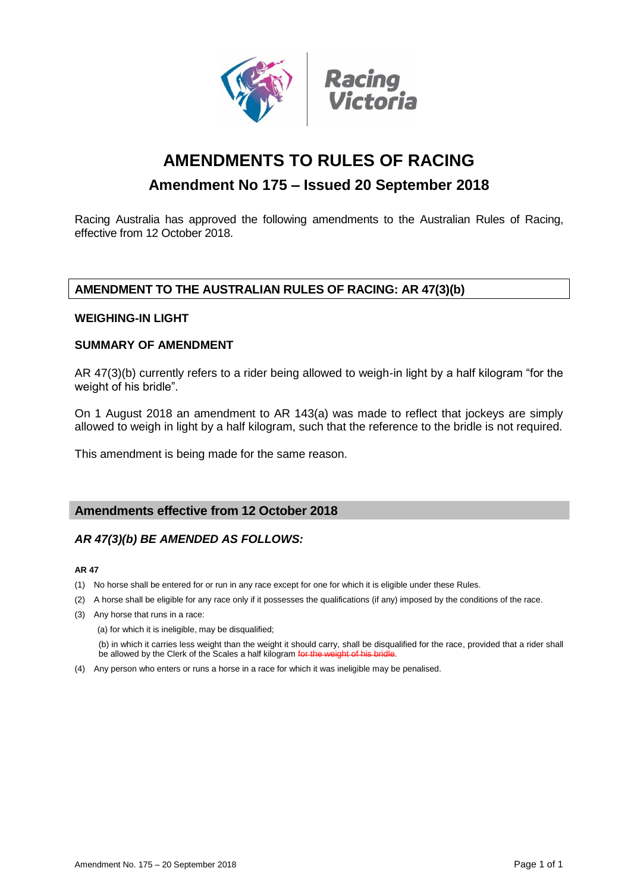

# **AMENDMENTS TO RULES OF RACING**

# **Amendment No 175 – Issued 20 September 2018**

Racing Australia has approved the following amendments to the Australian Rules of Racing, effective from 12 October 2018.

## **AMENDMENT TO THE AUSTRALIAN RULES OF RACING: AR 47(3)(b)**

### **WEIGHING-IN LIGHT**

### **SUMMARY OF AMENDMENT**

AR 47(3)(b) currently refers to a rider being allowed to weigh-in light by a half kilogram "for the weight of his bridle".

On 1 August 2018 an amendment to AR 143(a) was made to reflect that jockeys are simply allowed to weigh in light by a half kilogram, such that the reference to the bridle is not required.

This amendment is being made for the same reason.

### **Amendments effective from 12 October 2018**

### *AR 47(3)(b) BE AMENDED AS FOLLOWS:*

#### **AR 47**

- (1) No horse shall be entered for or run in any race except for one for which it is eligible under these Rules.
- (2) A horse shall be eligible for any race only if it possesses the qualifications (if any) imposed by the conditions of the race.
- (3) Any horse that runs in a race:

(a) for which it is ineligible, may be disqualified;

(b) in which it carries less weight than the weight it should carry, shall be disqualified for the race, provided that a rider shall be allowed by the Clerk of the Scales a half kilogram for the

(4) Any person who enters or runs a horse in a race for which it was ineligible may be penalised.